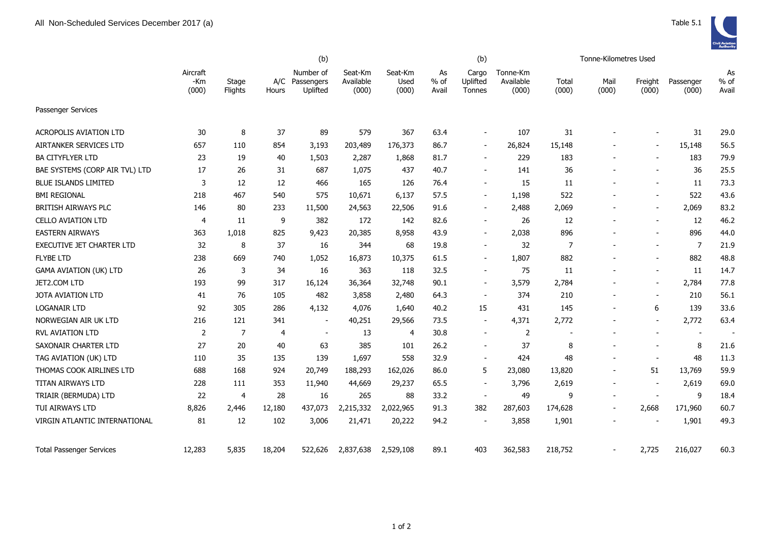|                                  |                          |                  |              | (b)                                 |                               |                          |                     | (b)                         |                                |                | Tonne-Kilometres Used    |                  |                          |                     |
|----------------------------------|--------------------------|------------------|--------------|-------------------------------------|-------------------------------|--------------------------|---------------------|-----------------------------|--------------------------------|----------------|--------------------------|------------------|--------------------------|---------------------|
|                                  | Aircraft<br>-Km<br>(000) | Stage<br>Flights | A/C<br>Hours | Number of<br>Passengers<br>Uplifted | Seat-Km<br>Available<br>(000) | Seat-Km<br>Used<br>(000) | As<br>% of<br>Avail | Cargo<br>Uplifted<br>Tonnes | Tonne-Km<br>Available<br>(000) | Total<br>(000) | Mail<br>(000)            | Freight<br>(000) | Passenger<br>(000)       | As<br>% of<br>Avail |
| Passenger Services               |                          |                  |              |                                     |                               |                          |                     |                             |                                |                |                          |                  |                          |                     |
| <b>ACROPOLIS AVIATION LTD</b>    | 30                       | 8                | 37           | 89                                  | 579                           | 367                      | 63.4                |                             | 107                            | 31             |                          |                  | 31                       | 29.0                |
| AIRTANKER SERVICES LTD           | 657                      | 110              | 854          | 3,193                               | 203,489                       | 176,373                  | 86.7                | $\overline{\phantom{a}}$    | 26,824                         | 15,148         |                          |                  | 15,148                   | 56.5                |
| <b>BA CITYFLYER LTD</b>          | 23                       | 19               | 40           | 1,503                               | 2,287                         | 1,868                    | 81.7                |                             | 229                            | 183            |                          |                  | 183                      | 79.9                |
| BAE SYSTEMS (CORP AIR TVL) LTD   | 17                       | 26               | 31           | 687                                 | 1,075                         | 437                      | 40.7                | $\overline{\phantom{a}}$    | 141                            | 36             |                          |                  | 36                       | 25.5                |
| <b>BLUE ISLANDS LIMITED</b>      | 3                        | 12               | 12           | 466                                 | 165                           | 126                      | 76.4                |                             | 15                             | 11             |                          |                  | 11                       | 73.3                |
| <b>BMI REGIONAL</b>              | 218                      | 467              | 540          | 575                                 | 10,671                        | 6,137                    | 57.5                |                             | 1,198                          | 522            |                          |                  | 522                      | 43.6                |
| <b>BRITISH AIRWAYS PLC</b>       | 146                      | 80               | 233          | 11,500                              | 24,563                        | 22,506                   | 91.6                | $\sim$                      | 2,488                          | 2,069          |                          |                  | 2,069                    | 83.2                |
| <b>CELLO AVIATION LTD</b>        | 4                        | 11               | 9            | 382                                 | 172                           | 142                      | 82.6                |                             | 26                             | 12             |                          |                  | 12                       | 46.2                |
| <b>EASTERN AIRWAYS</b>           | 363                      | 1,018            | 825          | 9,423                               | 20,385                        | 8,958                    | 43.9                | $\sim$                      | 2,038                          | 896            |                          |                  | 896                      | 44.0                |
| <b>EXECUTIVE JET CHARTER LTD</b> | 32                       | 8                | 37           | 16                                  | 344                           | 68                       | 19.8                | $\sim$                      | 32                             | 7              |                          |                  | $\overline{7}$           | 21.9                |
| <b>FLYBE LTD</b>                 | 238                      | 669              | 740          | 1,052                               | 16,873                        | 10,375                   | 61.5                |                             | 1,807                          | 882            |                          |                  | 882                      | 48.8                |
| <b>GAMA AVIATION (UK) LTD</b>    | 26                       | 3                | 34           | 16                                  | 363                           | 118                      | 32.5                |                             | 75                             | 11             |                          |                  | 11                       | 14.7                |
| JET2.COM LTD                     | 193                      | 99               | 317          | 16,124                              | 36,364                        | 32,748                   | 90.1                | $\blacksquare$              | 3,579                          | 2,784          |                          |                  | 2,784                    | 77.8                |
| <b>JOTA AVIATION LTD</b>         | 41                       | 76               | 105          | 482                                 | 3,858                         | 2,480                    | 64.3                | $\sim$                      | 374                            | 210            |                          | $\sim$           | 210                      | 56.1                |
| <b>LOGANAIR LTD</b>              | 92                       | 305              | 286          | 4,132                               | 4,076                         | 1,640                    | 40.2                | 15                          | 431                            | 145            |                          | 6                | 139                      | 33.6                |
| NORWEGIAN AIR UK LTD             | 216                      | 121              | 341          | $\blacksquare$                      | 40,251                        | 29,566                   | 73.5                |                             | 4,371                          | 2,772          |                          |                  | 2,772                    | 63.4                |
| RVL AVIATION LTD                 | 2                        | $\overline{7}$   | 4            | $\overline{a}$                      | 13                            | 4                        | 30.8                |                             | $\overline{2}$                 | $\overline{a}$ |                          |                  | $\overline{\phantom{a}}$ |                     |
| SAXONAIR CHARTER LTD             | 27                       | 20               | 40           | 63                                  | 385                           | 101                      | 26.2                |                             | 37                             | 8              |                          |                  | 8                        | 21.6                |
| TAG AVIATION (UK) LTD            | 110                      | 35               | 135          | 139                                 | 1,697                         | 558                      | 32.9                |                             | 424                            | 48             |                          |                  | 48                       | 11.3                |
| THOMAS COOK AIRLINES LTD         | 688                      | 168              | 924          | 20,749                              | 188,293                       | 162,026                  | 86.0                | 5                           | 23,080                         | 13,820         | $\overline{\phantom{a}}$ | 51               | 13,769                   | 59.9                |
| <b>TITAN AIRWAYS LTD</b>         | 228                      | 111              | 353          | 11,940                              | 44,669                        | 29,237                   | 65.5                |                             | 3,796                          | 2,619          |                          |                  | 2,619                    | 69.0                |
| TRIAIR (BERMUDA) LTD             | 22                       | $\overline{4}$   | 28           | 16                                  | 265                           | 88                       | 33.2                | $\overline{\phantom{a}}$    | 49                             | 9              |                          |                  | 9                        | 18.4                |
| TUI AIRWAYS LTD                  | 8,826                    | 2,446            | 12,180       | 437,073                             | 2,215,332                     | 2,022,965                | 91.3                | 382                         | 287,603                        | 174,628        |                          | 2,668            | 171,960                  | 60.7                |
| VIRGIN ATLANTIC INTERNATIONAL    | 81                       | 12               | 102          | 3,006                               | 21,471                        | 20,222                   | 94.2                |                             | 3,858                          | 1,901          |                          |                  | 1,901                    | 49.3                |
| <b>Total Passenger Services</b>  | 12,283                   | 5,835            | 18,204       | 522,626                             | 2,837,638                     | 2,529,108                | 89.1                | 403                         | 362,583                        | 218,752        |                          | 2,725            | 216,027                  | 60.3                |